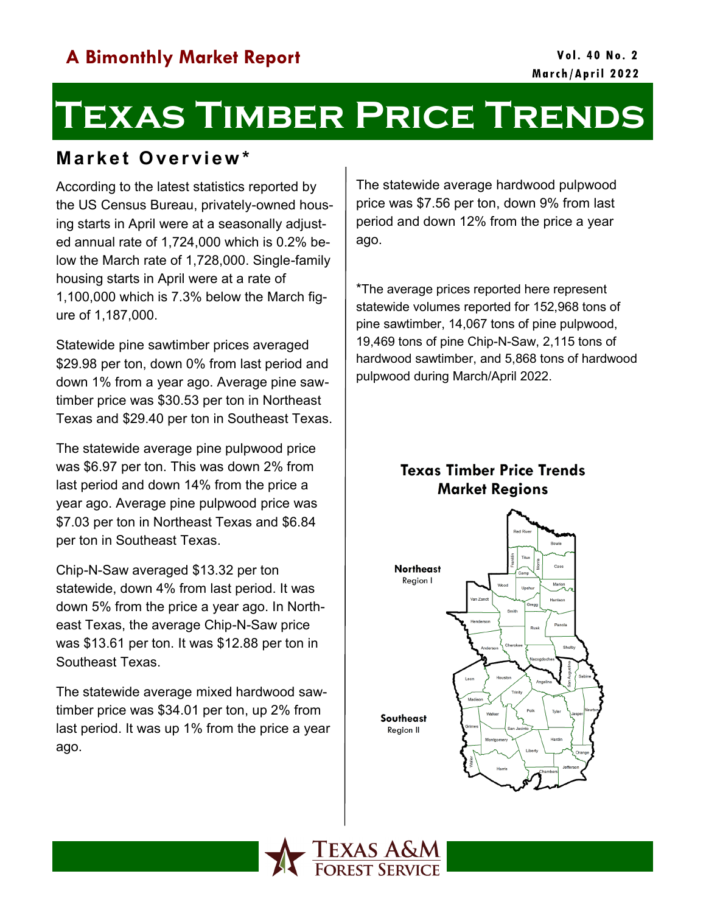# **Texas Timber Price Trends**

## **M a r k e t O ve r vi e w \***

According to the latest statistics reported by the US Census Bureau, privately-owned housing starts in April were at a seasonally adjusted annual rate of 1,724,000 which is 0.2% below the March rate of 1,728,000. Single-family housing starts in April were at a rate of 1,100,000 which is 7.3% below the March figure of 1,187,000.

Statewide pine sawtimber prices averaged \$29.98 per ton, down 0% from last period and down 1% from a year ago. Average pine sawtimber price was \$30.53 per ton in Northeast Texas and \$29.40 per ton in Southeast Texas.

The statewide average pine pulpwood price was \$6.97 per ton. This was down 2% from last period and down 14% from the price a year ago. Average pine pulpwood price was \$7.03 per ton in Northeast Texas and \$6.84 per ton in Southeast Texas.

Chip-N-Saw averaged \$13.32 per ton statewide, down 4% from last period. It was down 5% from the price a year ago. In Northeast Texas, the average Chip-N-Saw price was \$13.61 per ton. It was \$12.88 per ton in Southeast Texas.

The statewide average mixed hardwood sawtimber price was \$34.01 per ton, up 2% from last period. It was up 1% from the price a year ago.

The statewide average hardwood pulpwood price was \$7.56 per ton, down 9% from last period and down 12% from the price a year ago.

\*The average prices reported here represent statewide volumes reported for 152,968 tons of pine sawtimber, 14,067 tons of pine pulpwood, 19,469 tons of pine Chip-N-Saw, 2,115 tons of hardwood sawtimber, and 5,868 tons of hardwood pulpwood during March/April 2022.

### **Texas Timber Price Trends Market Regions**



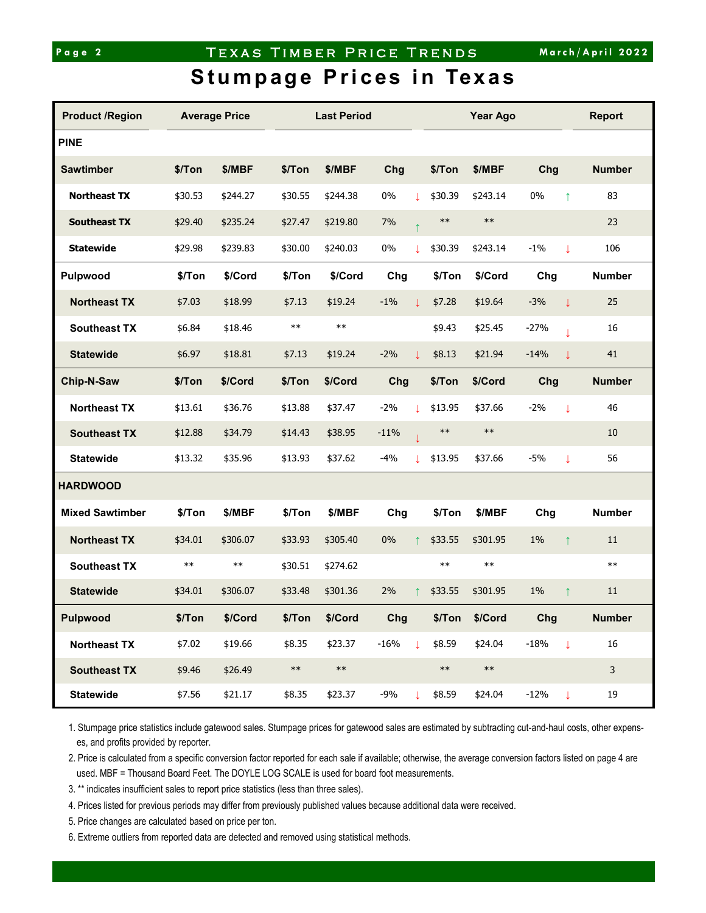#### Page 2 TEXAS TIMBER PRICE TRENDS

# **Stumpage Prices in Texas**

| <b>Product /Region</b> | <b>Average Price</b> |            |            | <b>Last Period</b> |        |         |            | Year Ago   | <b>Report</b>          |                     |  |
|------------------------|----------------------|------------|------------|--------------------|--------|---------|------------|------------|------------------------|---------------------|--|
| <b>PINE</b>            |                      |            |            |                    |        |         |            |            |                        |                     |  |
| <b>Sawtimber</b>       | \$/Ton               | \$/MBF     | \$/Ton     | \$/MBF             | Chg    |         | \$/Ton     | \$/MBF     | Chg                    | <b>Number</b>       |  |
| <b>Northeast TX</b>    | \$30.53              | \$244.27   | \$30.55    | \$244.38           | 0%     | T       | \$30.39    | \$243.14   | $0\%$<br>$\uparrow$    | 83                  |  |
| <b>Southeast TX</b>    | \$29.40              | \$235.24   | \$27.47    | \$219.80           | 7%     |         | $***$      | $***$      |                        | 23                  |  |
| <b>Statewide</b>       | \$29.98              | \$239.83   | \$30.00    | \$240.03           | 0%     | T       | \$30.39    | \$243.14   | $-1%$                  | 106<br>$\downarrow$ |  |
| Pulpwood               | \$/Ton               | \$/Cord    | \$/Ton     | \$/Cord            | Chg    |         | \$/Ton     | \$/Cord    | Chg                    | <b>Number</b>       |  |
| <b>Northeast TX</b>    | \$7.03               | \$18.99    | \$7.13     | \$19.24            | $-1%$  | T       | \$7.28     | \$19.64    | $-3%$                  | 25<br>$\downarrow$  |  |
| <b>Southeast TX</b>    | \$6.84               | \$18.46    | $***$      | $\ast\ast$         |        |         | \$9.43     | \$25.45    | $-27%$                 | 16                  |  |
| <b>Statewide</b>       | \$6.97               | \$18.81    | \$7.13     | \$19.24            | $-2%$  | T       | \$8.13     | \$21.94    | $-14%$                 | 41<br>T             |  |
| Chip-N-Saw             | \$/Ton               | \$/Cord    | \$/Ton     | \$/Cord            | Chg    |         | \$/Ton     | \$/Cord    | Chg                    | <b>Number</b>       |  |
| <b>Northeast TX</b>    | \$13.61              | \$36.76    | \$13.88    | \$37.47            | $-2%$  | T       | \$13.95    | \$37.66    | $-2%$                  | 46<br>$\downarrow$  |  |
| <b>Southeast TX</b>    | \$12.88              | \$34.79    | \$14.43    | \$38.95            | $-11%$ |         | $***$      | $\ast\ast$ |                        | 10                  |  |
| <b>Statewide</b>       | \$13.32              | \$35.96    | \$13.93    | \$37.62            | $-4%$  | T       | \$13.95    | \$37.66    | $-5%$                  | 56<br>$\downarrow$  |  |
| <b>HARDWOOD</b>        |                      |            |            |                    |        |         |            |            |                        |                     |  |
| <b>Mixed Sawtimber</b> | \$/Ton               | \$/MBF     | \$/Ton     | \$/MBF             | Chg    |         | \$/Ton     | \$/MBF     | Chg                    | <b>Number</b>       |  |
| <b>Northeast TX</b>    | \$34.01              | \$306.07   | \$33.93    | \$305.40           | $0\%$  |         | \$33.55    | \$301.95   | $1\%$                  | 11<br>$\uparrow$    |  |
| <b>Southeast TX</b>    | $***$                | $\ast\ast$ | \$30.51    | \$274.62           |        |         | $***$      | $***$      |                        | $***$               |  |
| <b>Statewide</b>       | \$34.01              | \$306.07   | \$33.48    | \$301.36           | 2%     |         | \$33.55    | \$301.95   | $1\%$                  | 11<br>↑             |  |
| Pulpwood               | \$/Ton               | \$/Cord    | \$/Ton     | \$/Cord            | Chg    |         | \$/Ton     | \$/Cord    | Chg                    | <b>Number</b>       |  |
| <b>Northeast TX</b>    | \$7.02               | \$19.66    | \$8.35     | \$23.37            | $-16%$ | L.      | \$8.59     | \$24.04    | $-18%$<br>$\downarrow$ | $16\,$              |  |
| <b>Southeast TX</b>    | \$9.46               | \$26.49    | $\ast\ast$ | $***$              |        |         | $\ast\ast$ | $\ast\ast$ |                        | 3                   |  |
| <b>Statewide</b>       | \$7.56               | \$21.17    | \$8.35     | \$23.37            | $-9%$  | $\perp$ | \$8.59     | \$24.04    | $-12%$                 | 19<br>$\downarrow$  |  |

1. Stumpage price statistics include gatewood sales. Stumpage prices for gatewood sales are estimated by subtracting cut-and-haul costs, other expenses, and profits provided by reporter.

2. Price is calculated from a specific conversion factor reported for each sale if available; otherwise, the average conversion factors listed on page 4 are used. MBF = Thousand Board Feet. The DOYLE LOG SCALE is used for board foot measurements.

3. \*\* indicates insufficient sales to report price statistics (less than three sales).

4. Prices listed for previous periods may differ from previously published values because additional data were received.

5. Price changes are calculated based on price per ton.

6. Extreme outliers from reported data are detected and removed using statistical methods.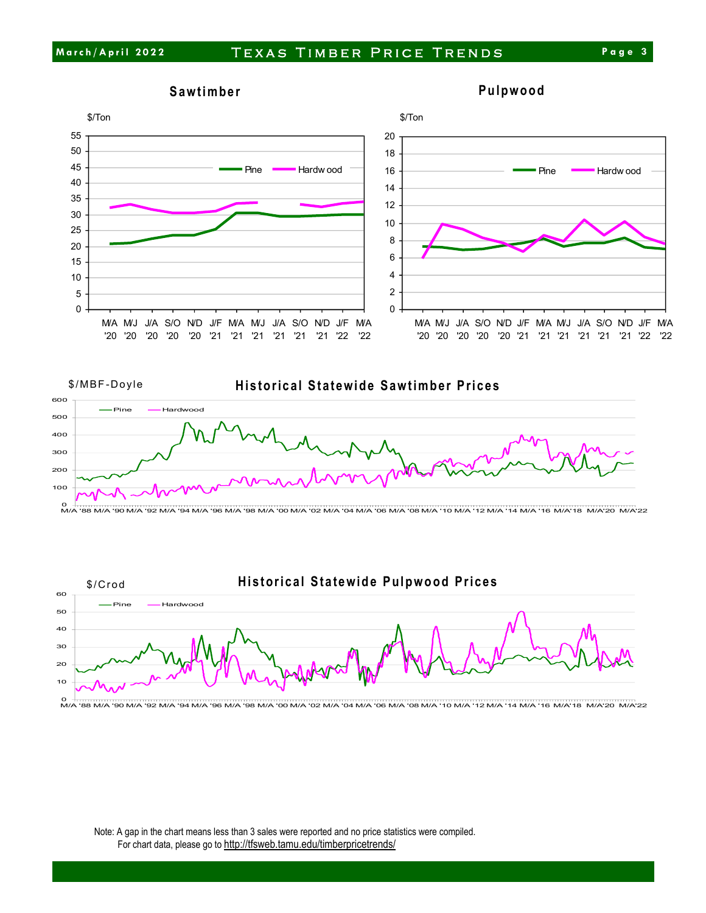









Note: A gap in the chart means less than 3 sales were reported and no price statistics were compiled. For chart data, please go to <http://tfsweb.tamu.edu/timberpricetrends/>